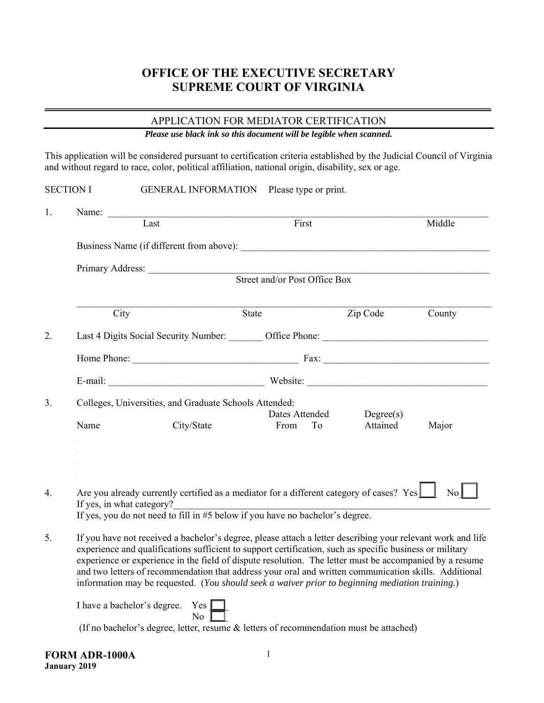# **OFFICE OF THE EXECUTIVE SECRETARY SUPREME COURT OF VIRGINIA**

## APPLICATION FOR MEDIATOR CERTIFICATION

*Please use black ink so this document will be legible when scanned.* 

This application will be considered pursuant to certification criteria established by the Judicial Council of Virginia and without regard to race, color, political affiliation, national origin, disability, sex or age.

|                                                                                                                                                                                                                                                                                                                                                                                                                                                                                                                                                      | <b>SECTION I</b> |                                                                                                                                                                                                          | GENERAL INFORMATION Please type or print. |                                                                                                                                                                                                                                                         |                      |  |  |  |
|------------------------------------------------------------------------------------------------------------------------------------------------------------------------------------------------------------------------------------------------------------------------------------------------------------------------------------------------------------------------------------------------------------------------------------------------------------------------------------------------------------------------------------------------------|------------------|----------------------------------------------------------------------------------------------------------------------------------------------------------------------------------------------------------|-------------------------------------------|---------------------------------------------------------------------------------------------------------------------------------------------------------------------------------------------------------------------------------------------------------|----------------------|--|--|--|
| 1.                                                                                                                                                                                                                                                                                                                                                                                                                                                                                                                                                   |                  | Name:<br>$\overline{Last}$                                                                                                                                                                               | First                                     |                                                                                                                                                                                                                                                         | Middle               |  |  |  |
|                                                                                                                                                                                                                                                                                                                                                                                                                                                                                                                                                      |                  |                                                                                                                                                                                                          |                                           |                                                                                                                                                                                                                                                         |                      |  |  |  |
|                                                                                                                                                                                                                                                                                                                                                                                                                                                                                                                                                      |                  | Business Name (if different from above):                                                                                                                                                                 |                                           |                                                                                                                                                                                                                                                         |                      |  |  |  |
|                                                                                                                                                                                                                                                                                                                                                                                                                                                                                                                                                      |                  |                                                                                                                                                                                                          |                                           |                                                                                                                                                                                                                                                         |                      |  |  |  |
|                                                                                                                                                                                                                                                                                                                                                                                                                                                                                                                                                      |                  | Primary Address: Street and/or Post Office Box                                                                                                                                                           |                                           |                                                                                                                                                                                                                                                         |                      |  |  |  |
|                                                                                                                                                                                                                                                                                                                                                                                                                                                                                                                                                      |                  | City                                                                                                                                                                                                     | State                                     | Zip Code                                                                                                                                                                                                                                                | County               |  |  |  |
| 2.                                                                                                                                                                                                                                                                                                                                                                                                                                                                                                                                                   |                  | Last 4 Digits Social Security Number: ________ Office Phone: ____________________                                                                                                                        |                                           |                                                                                                                                                                                                                                                         |                      |  |  |  |
|                                                                                                                                                                                                                                                                                                                                                                                                                                                                                                                                                      |                  |                                                                                                                                                                                                          |                                           |                                                                                                                                                                                                                                                         |                      |  |  |  |
|                                                                                                                                                                                                                                                                                                                                                                                                                                                                                                                                                      |                  |                                                                                                                                                                                                          |                                           |                                                                                                                                                                                                                                                         |                      |  |  |  |
| 3.                                                                                                                                                                                                                                                                                                                                                                                                                                                                                                                                                   |                  | Colleges, Universities, and Graduate Schools Attended:                                                                                                                                                   |                                           |                                                                                                                                                                                                                                                         |                      |  |  |  |
|                                                                                                                                                                                                                                                                                                                                                                                                                                                                                                                                                      | Name             | City/State                                                                                                                                                                                               | Dates Attended<br>From                    | Degree(s)<br>To the contract of the contract of the contract of the contract of the contract of the contract of the contract of the contract of the contract of the contract of the contract of the contract of the contract of the contrac<br>Attained | Major                |  |  |  |
|                                                                                                                                                                                                                                                                                                                                                                                                                                                                                                                                                      |                  |                                                                                                                                                                                                          |                                           |                                                                                                                                                                                                                                                         |                      |  |  |  |
| $\overline{4}$ .                                                                                                                                                                                                                                                                                                                                                                                                                                                                                                                                     |                  | Are you already currently certified as a mediator for a different category of cases? $Yes$<br>If yes, in what category?<br>If yes, you do not need to fill in #5 below if you have no bachelor's degree. |                                           |                                                                                                                                                                                                                                                         | $\mathbb{N}^{\circ}$ |  |  |  |
| 5.<br>If you have not received a bachelor's degree, please attach a letter describing your relevant work and life<br>experience and qualifications sufficient to support certification, such as specific business or military<br>experience or experience in the field of dispute resolution. The letter must be accompanied by a resume<br>and two letters of recommendation that address your oral and written communication skills. Additional<br>information may be requested. (You should seek a waiver prior to beginning mediation training.) |                  |                                                                                                                                                                                                          |                                           |                                                                                                                                                                                                                                                         |                      |  |  |  |
|                                                                                                                                                                                                                                                                                                                                                                                                                                                                                                                                                      |                  | I have a bachelor's degree. Yes<br>No<br>(If no bachelor's degree, letter, resume & letters of recommendation must be attached)                                                                          |                                           |                                                                                                                                                                                                                                                         |                      |  |  |  |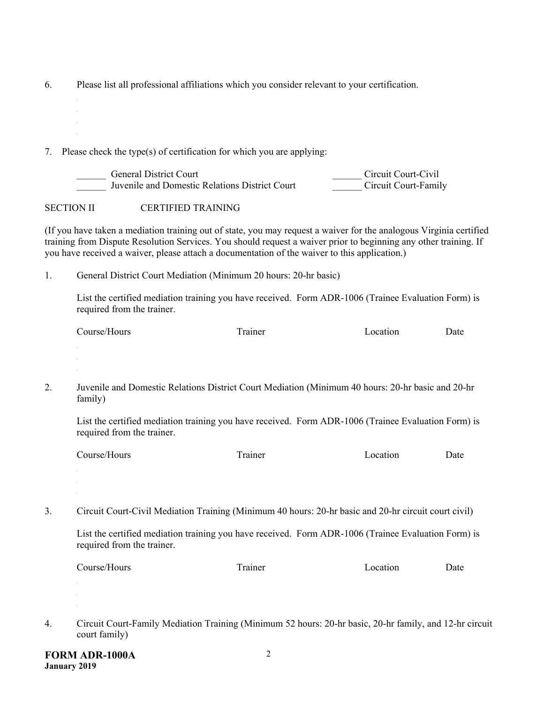6. Please list all professional affiliations which you consider relevant to your certification.

7. Please check the type(s) of certification for which you are applying:

| General District Court                         | Circuit Court-Civil  |
|------------------------------------------------|----------------------|
| Juvenile and Domestic Relations District Court | Circuit Court-Family |

SECTION II CERTIFIED TRAINING

(If you have taken a mediation training out of state, you may request a waiver for the analogous Virginia certified training from Dispute Resolution Services. You should request a waiver prior to beginning any other training. If you have received a waiver, please attach a documentation of the waiver to this application.)

1. General District Court Mediation (Minimum 20 hours: 20-hr basic)

List the certified mediation training you have received. Form ADR-1006 (Trainee Evaluation Form) is required from the trainer.

| $\sim$<br>Course/Hours<br>ocation_<br>rainer | Jate |
|----------------------------------------------|------|
|----------------------------------------------|------|

2. Juvenile and Domestic Relations District Court Mediation (Minimum 40 hours: 20-hr basic and 20-hr family)

List the certified mediation training you have received. Form ADR-1006 (Trainee Evaluation Form) is required from the trainer.

| $\sim$<br>. .ourse/F<br>ours | ᅲ<br>11222<br>шсі<br>. | ration<br>м | Jate |
|------------------------------|------------------------|-------------|------|
|------------------------------|------------------------|-------------|------|

3. Circuit Court-Civil Mediation Training (Minimum 40 hours: 20-hr basic and 20-hr circuit court civil)

List the certified mediation training you have received. Form ADR-1006 (Trainee Evaluation Form) is required from the trainer.

| È<br>$\degree$ ourse/ $\degree$<br>10urs<br>rainer<br>ocation_ | Jate |
|----------------------------------------------------------------|------|
|----------------------------------------------------------------|------|

4. Circuit Court-Family Mediation Training (Minimum 52 hours: 20-hr basic, 20-hr family, and 12-hr circuit court family)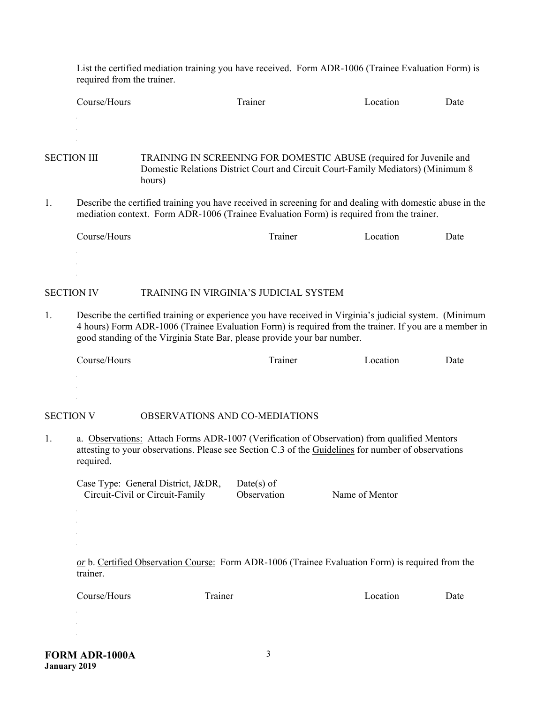List the certified mediation training you have received. Form ADR-1006 (Trainee Evaluation Form) is required from the trainer.

| $\sim$<br>Course/Hours | 112221<br>ınei<br>. | cation<br>A 36. | Date |
|------------------------|---------------------|-----------------|------|
|                        |                     |                 |      |

SECTION III TRAINING IN SCREENING FOR DOMESTIC ABUSE (required for Juvenile and Domestic Relations District Court and Circuit Court-Family Mediators) (Minimum 8 hours)

1. Describe the certified training you have received in screening for and dealing with domestic abuse in the mediation context. Form ADR-1006 (Trainee Evaluation Form) is required from the trainer.

| Course/Hours | rainer | ocation_ | Jate |
|--------------|--------|----------|------|
|              |        |          |      |

## SECTION IV TRAINING IN VIRGINIA'S JUDICIAL SYSTEM

1. Describe the certified training or experience you have received in Virginia's judicial system. (Minimum 4 hours) Form ADR-1006 (Trainee Evaluation Form) is required from the trainer. If you are a member in good standing of the Virginia State Bar, please provide your bar number.

#### SECTION V OBSERVATIONS AND CO-MEDIATIONS

1. a. Observations: Attach Forms ADR-1007 (Verification of Observation) from qualified Mentors attesting to your observations. Please see Section C.3 of the Guidelines for number of observations required.

 Case Type: General District, J&DR, Date(s) of Circuit-Civil or Circuit-Family Observation Name of Mentor

*or* b. Certified Observation Course: Form ADR-1006 (Trainee Evaluation Form) is required from the trainer.

Course/Hours Trainer Location Date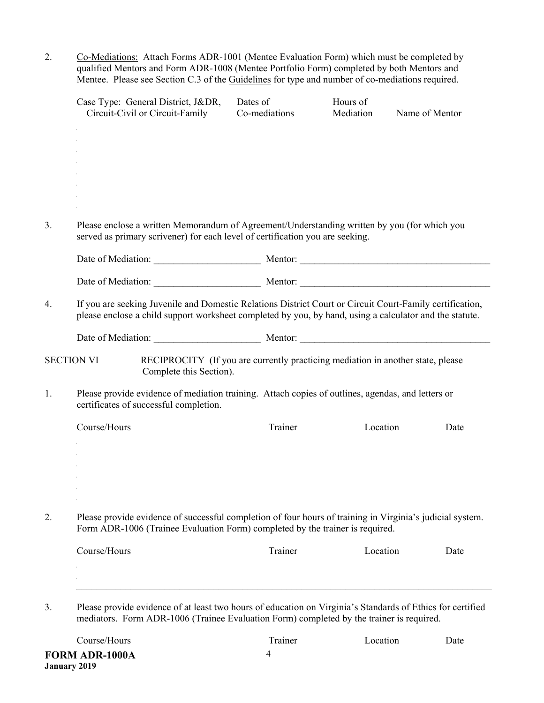2. Co-Mediations: Attach Forms ADR-1001 (Mentee Evaluation Form) which must be completed by qualified Mentors and Form ADR-1008 (Mentee Portfolio Form) completed by both Mentors and Mentee. Please see Section C.3 of the Guidelines for type and number of co-mediations required.

|                                                                                                                                                                                                  | Case Type: General District, J&DR,<br>Circuit-Civil or Circuit-Family                                                                                                                                               | Dates of<br>Co-mediations | Hours of<br>Mediation | Name of Mentor |
|--------------------------------------------------------------------------------------------------------------------------------------------------------------------------------------------------|---------------------------------------------------------------------------------------------------------------------------------------------------------------------------------------------------------------------|---------------------------|-----------------------|----------------|
|                                                                                                                                                                                                  |                                                                                                                                                                                                                     |                           |                       |                |
|                                                                                                                                                                                                  |                                                                                                                                                                                                                     |                           |                       |                |
|                                                                                                                                                                                                  |                                                                                                                                                                                                                     |                           |                       |                |
|                                                                                                                                                                                                  |                                                                                                                                                                                                                     |                           |                       |                |
|                                                                                                                                                                                                  | Please enclose a written Memorandum of Agreement/Understanding written by you (for which you<br>served as primary scrivener) for each level of certification you are seeking.                                       |                           |                       |                |
|                                                                                                                                                                                                  |                                                                                                                                                                                                                     |                           |                       |                |
|                                                                                                                                                                                                  |                                                                                                                                                                                                                     |                           |                       |                |
|                                                                                                                                                                                                  | If you are seeking Juvenile and Domestic Relations District Court or Circuit Court-Family certification,<br>please enclose a child support worksheet completed by you, by hand, using a calculator and the statute. |                           |                       |                |
|                                                                                                                                                                                                  |                                                                                                                                                                                                                     |                           |                       |                |
|                                                                                                                                                                                                  | RECIPROCITY (If you are currently practicing mediation in another state, please<br>SECTION VI<br>Complete this Section).                                                                                            |                           |                       |                |
|                                                                                                                                                                                                  | Please provide evidence of mediation training. Attach copies of outlines, agendas, and letters or<br>certificates of successful completion.                                                                         |                           |                       |                |
|                                                                                                                                                                                                  | Course/Hours                                                                                                                                                                                                        | Trainer                   | Location              | Date           |
|                                                                                                                                                                                                  |                                                                                                                                                                                                                     |                           |                       |                |
|                                                                                                                                                                                                  |                                                                                                                                                                                                                     |                           |                       |                |
|                                                                                                                                                                                                  |                                                                                                                                                                                                                     |                           |                       |                |
| Please provide evidence of successful completion of four hours of training in Virginia's judicial system.<br>2.<br>Form ADR-1006 (Trainee Evaluation Form) completed by the trainer is required. |                                                                                                                                                                                                                     |                           |                       |                |
|                                                                                                                                                                                                  | Course/Hours                                                                                                                                                                                                        | Trainer                   | Location              | Date           |
|                                                                                                                                                                                                  |                                                                                                                                                                                                                     |                           |                       |                |
|                                                                                                                                                                                                  |                                                                                                                                                                                                                     |                           |                       |                |
|                                                                                                                                                                                                  | Please provide evidence of at least two hours of education on Virginia's Standards of Ethics for certified<br>mediators. Form ADR-1006 (Trainee Evaluation Form) completed by the trainer is required.              |                           |                       |                |

4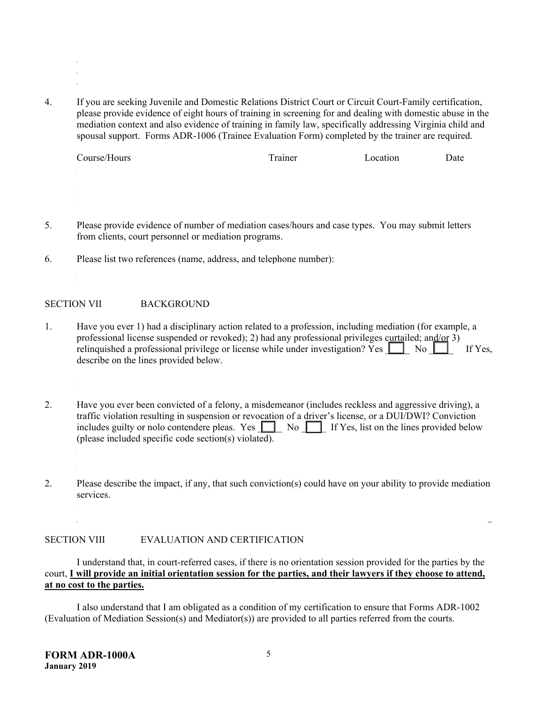4. If you are seeking Juvenile and Domestic Relations District Court or Circuit Court-Family certification, please provide evidence of eight hours of training in screening for and dealing with domestic abuse in the mediation context and also evidence of training in family law, specifically addressing Virginia child and spousal support. Forms ADR-1006 (Trainee Evaluation Form) completed by the trainer are required.

 $\mathcal{L}_\text{max} = \mathcal{L}_\text{max} = \mathcal{L}_\text{max} = \mathcal{L}_\text{max} = \mathcal{L}_\text{max} = \mathcal{L}_\text{max} = \mathcal{L}_\text{max} = \mathcal{L}_\text{max} = \mathcal{L}_\text{max} = \mathcal{L}_\text{max} = \mathcal{L}_\text{max} = \mathcal{L}_\text{max} = \mathcal{L}_\text{max} = \mathcal{L}_\text{max} = \mathcal{L}_\text{max} = \mathcal{L}_\text{max} = \mathcal{L}_\text{max} = \mathcal{L}_\text{max} = \mathcal{$  $\mathcal{L}_\mathcal{L} = \mathcal{L}_\mathcal{L} = \mathcal{L}_\mathcal{L} = \mathcal{L}_\mathcal{L} = \mathcal{L}_\mathcal{L} = \mathcal{L}_\mathcal{L} = \mathcal{L}_\mathcal{L} = \mathcal{L}_\mathcal{L} = \mathcal{L}_\mathcal{L} = \mathcal{L}_\mathcal{L} = \mathcal{L}_\mathcal{L} = \mathcal{L}_\mathcal{L} = \mathcal{L}_\mathcal{L} = \mathcal{L}_\mathcal{L} = \mathcal{L}_\mathcal{L} = \mathcal{L}_\mathcal{L} = \mathcal{L}_\mathcal{L}$  $\mathcal{L}_\text{max} = \mathcal{L}_\text{max} = \mathcal{L}_\text{max} = \mathcal{L}_\text{max} = \mathcal{L}_\text{max} = \mathcal{L}_\text{max} = \mathcal{L}_\text{max} = \mathcal{L}_\text{max} = \mathcal{L}_\text{max} = \mathcal{L}_\text{max} = \mathcal{L}_\text{max} = \mathcal{L}_\text{max} = \mathcal{L}_\text{max} = \mathcal{L}_\text{max} = \mathcal{L}_\text{max} = \mathcal{L}_\text{max} = \mathcal{L}_\text{max} = \mathcal{L}_\text{max} = \mathcal{$ 

| Course/Hours | Trainer | Location | Date |
|--------------|---------|----------|------|
|              |         |          |      |

- 5. Please provide evidence of number of mediation cases/hours and case types. You may submit letters from clients, court personnel or mediation programs.
- 6. Please list two references (name, address, and telephone number):

### SECTION VII BACKGROUND

- 1. Have you ever 1) had a disciplinary action related to a profession, including mediation (for example, a professional license suspended or revoked); 2) had any professional privileges curtailed; and/or 3) relinquished a professional privilege or license while under investigation? Yes  $\Box$  No  $\Box$  If Yes, describe on the lines provided below.
- 2. Have you ever been convicted of a felony, a misdemeanor (includes reckless and aggressive driving), a traffic violation resulting in suspension or revocation of a driver's license, or a DUI/DWI? Conviction includes guilty or nolo contendere pleas. Yes  $\Box$  No  $\Box$  If Yes, list on the lines provided below (please included specific code section(s) violated).
- 2. Please describe the impact, if any, that such conviction(s) could have on your ability to provide mediation services.

 $\mathcal{L}_\text{max} = \mathcal{L}_\text{max} = \mathcal{L}_\text{max} = \mathcal{L}_\text{max} = \mathcal{L}_\text{max} = \mathcal{L}_\text{max} = \mathcal{L}_\text{max} = \mathcal{L}_\text{max} = \mathcal{L}_\text{max} = \mathcal{L}_\text{max} = \mathcal{L}_\text{max} = \mathcal{L}_\text{max} = \mathcal{L}_\text{max} = \mathcal{L}_\text{max} = \mathcal{L}_\text{max} = \mathcal{L}_\text{max} = \mathcal{L}_\text{max} = \mathcal{L}_\text{max} = \mathcal{$ 

#### SECTION VIII EVALUATION AND CERTIFICATION

I understand that, in court-referred cases, if there is no orientation session provided for the parties by the court, **I will provide an initial orientation session for the parties, and their lawyers if they choose to attend, at no cost to the parties.** 

I also understand that I am obligated as a condition of my certification to ensure that Forms ADR-1002 (Evaluation of Mediation Session(s) and Mediator(s)) are provided to all parties referred from the courts.